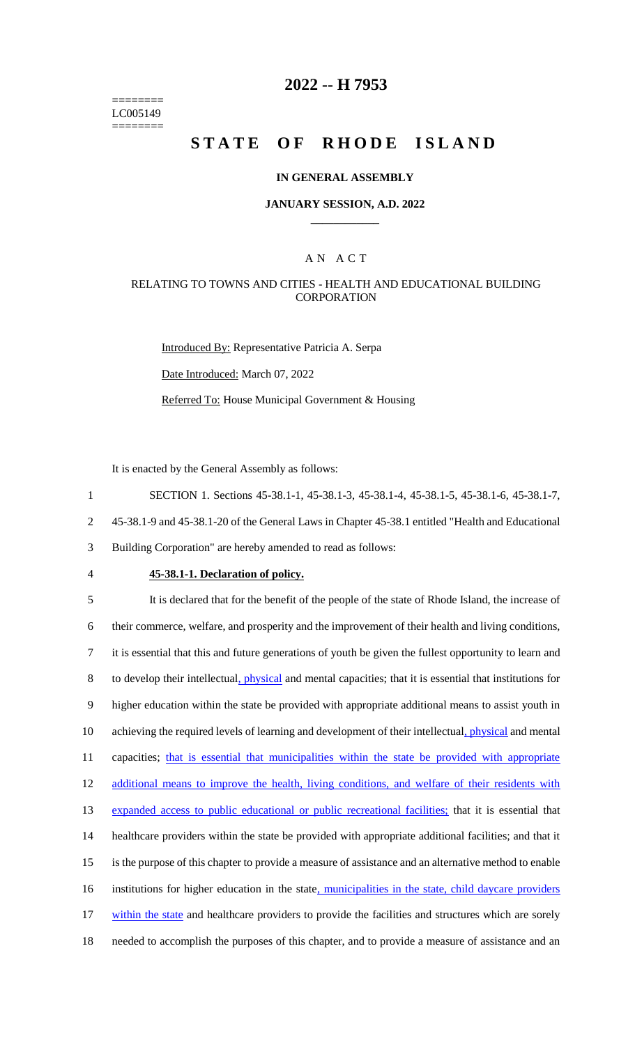======== LC005149 ========

# **2022 -- H 7953**

# **STATE OF RHODE ISLAND**

#### **IN GENERAL ASSEMBLY**

#### **JANUARY SESSION, A.D. 2022 \_\_\_\_\_\_\_\_\_\_\_\_**

## A N A C T

## RELATING TO TOWNS AND CITIES - HEALTH AND EDUCATIONAL BUILDING **CORPORATION**

Introduced By: Representative Patricia A. Serpa Date Introduced: March 07, 2022 Referred To: House Municipal Government & Housing

It is enacted by the General Assembly as follows:

1 SECTION 1. Sections 45-38.1-1, 45-38.1-3, 45-38.1-4, 45-38.1-5, 45-38.1-6, 45-38.1-7,

2 45-38.1-9 and 45-38.1-20 of the General Laws in Chapter 45-38.1 entitled "Health and Educational

3 Building Corporation" are hereby amended to read as follows:

#### 4 **45-38.1-1. Declaration of policy.**

5 It is declared that for the benefit of the people of the state of Rhode Island, the increase of 6 their commerce, welfare, and prosperity and the improvement of their health and living conditions, 7 it is essential that this and future generations of youth be given the fullest opportunity to learn and 8 to develop their intellectual, *physical* and mental capacities; that it is essential that institutions for 9 higher education within the state be provided with appropriate additional means to assist youth in 10 achieving the required levels of learning and development of their intellectual, physical and mental 11 capacities; that is essential that municipalities within the state be provided with appropriate 12 additional means to improve the health, living conditions, and welfare of their residents with 13 expanded access to public educational or public recreational facilities; that it is essential that 14 healthcare providers within the state be provided with appropriate additional facilities; and that it 15 is the purpose of this chapter to provide a measure of assistance and an alternative method to enable 16 institutions for higher education in the state, municipalities in the state, child daycare providers 17 within the state and healthcare providers to provide the facilities and structures which are sorely 18 needed to accomplish the purposes of this chapter, and to provide a measure of assistance and an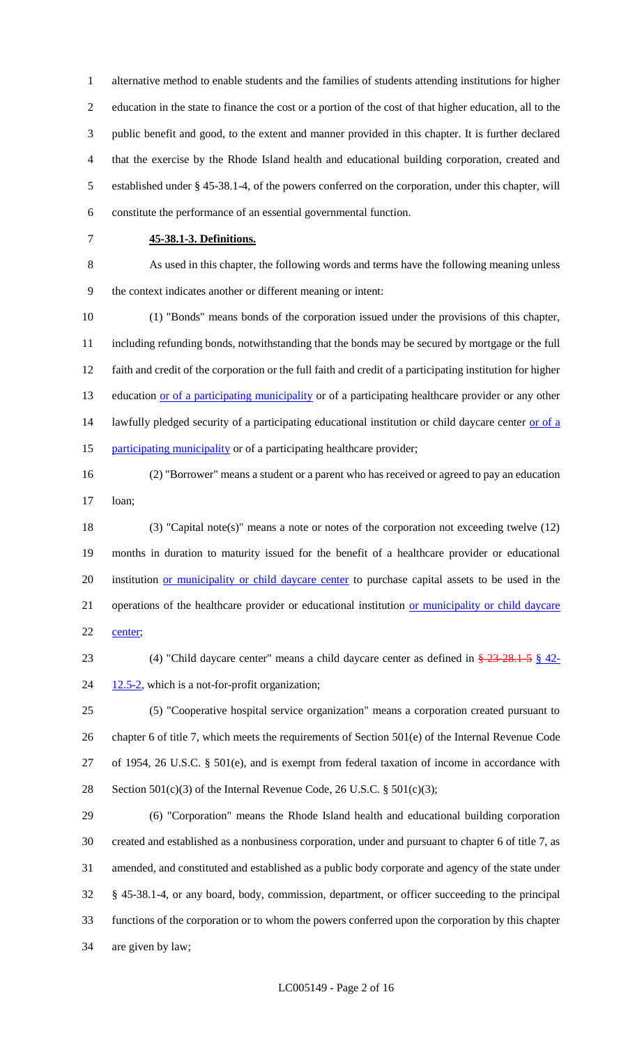alternative method to enable students and the families of students attending institutions for higher education in the state to finance the cost or a portion of the cost of that higher education, all to the public benefit and good, to the extent and manner provided in this chapter. It is further declared that the exercise by the Rhode Island health and educational building corporation, created and established under § 45-38.1-4, of the powers conferred on the corporation, under this chapter, will constitute the performance of an essential governmental function.

## **45-38.1-3. Definitions.**

 As used in this chapter, the following words and terms have the following meaning unless the context indicates another or different meaning or intent:

 (1) "Bonds" means bonds of the corporation issued under the provisions of this chapter, including refunding bonds, notwithstanding that the bonds may be secured by mortgage or the full faith and credit of the corporation or the full faith and credit of a participating institution for higher 13 education or of a participating municipality or of a participating healthcare provider or any other 14 lawfully pledged security of a participating educational institution or child daycare center or of a 15 participating municipality or of a participating healthcare provider;

 (2) "Borrower" means a student or a parent who has received or agreed to pay an education loan;

 (3) "Capital note(s)" means a note or notes of the corporation not exceeding twelve (12) months in duration to maturity issued for the benefit of a healthcare provider or educational 20 institution or municipality or child daycare center to purchase capital assets to be used in the 21 operations of the healthcare provider or educational institution or municipality or child daycare 22 center;

 (4) "Child daycare center" means a child daycare center as defined in § 23-28.1-5 § 42-  $24 \frac{12.5-2}{2}$ , which is a not-for-profit organization;

 (5) "Cooperative hospital service organization" means a corporation created pursuant to chapter 6 of title 7, which meets the requirements of Section 501(e) of the Internal Revenue Code of 1954, 26 U.S.C. § 501(e), and is exempt from federal taxation of income in accordance with 28 Section 501(c)(3) of the Internal Revenue Code, 26 U.S.C.  $\S$  501(c)(3);

 (6) "Corporation" means the Rhode Island health and educational building corporation created and established as a nonbusiness corporation, under and pursuant to chapter 6 of title 7, as amended, and constituted and established as a public body corporate and agency of the state under § 45-38.1-4, or any board, body, commission, department, or officer succeeding to the principal functions of the corporation or to whom the powers conferred upon the corporation by this chapter are given by law;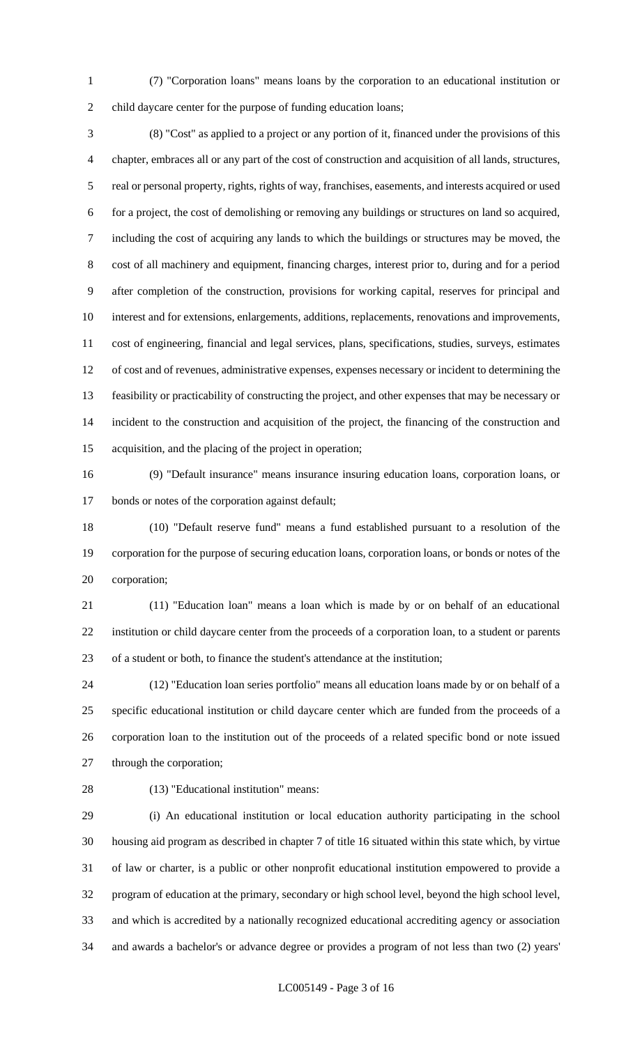(7) "Corporation loans" means loans by the corporation to an educational institution or child daycare center for the purpose of funding education loans;

 (8) "Cost" as applied to a project or any portion of it, financed under the provisions of this chapter, embraces all or any part of the cost of construction and acquisition of all lands, structures, real or personal property, rights, rights of way, franchises, easements, and interests acquired or used for a project, the cost of demolishing or removing any buildings or structures on land so acquired, including the cost of acquiring any lands to which the buildings or structures may be moved, the cost of all machinery and equipment, financing charges, interest prior to, during and for a period after completion of the construction, provisions for working capital, reserves for principal and interest and for extensions, enlargements, additions, replacements, renovations and improvements, cost of engineering, financial and legal services, plans, specifications, studies, surveys, estimates of cost and of revenues, administrative expenses, expenses necessary or incident to determining the feasibility or practicability of constructing the project, and other expenses that may be necessary or incident to the construction and acquisition of the project, the financing of the construction and acquisition, and the placing of the project in operation;

 (9) "Default insurance" means insurance insuring education loans, corporation loans, or bonds or notes of the corporation against default;

 (10) "Default reserve fund" means a fund established pursuant to a resolution of the corporation for the purpose of securing education loans, corporation loans, or bonds or notes of the corporation;

 (11) "Education loan" means a loan which is made by or on behalf of an educational institution or child daycare center from the proceeds of a corporation loan, to a student or parents of a student or both, to finance the student's attendance at the institution;

 (12) "Education loan series portfolio" means all education loans made by or on behalf of a specific educational institution or child daycare center which are funded from the proceeds of a corporation loan to the institution out of the proceeds of a related specific bond or note issued through the corporation;

(13) "Educational institution" means:

 (i) An educational institution or local education authority participating in the school housing aid program as described in chapter 7 of title 16 situated within this state which, by virtue of law or charter, is a public or other nonprofit educational institution empowered to provide a program of education at the primary, secondary or high school level, beyond the high school level, and which is accredited by a nationally recognized educational accrediting agency or association and awards a bachelor's or advance degree or provides a program of not less than two (2) years'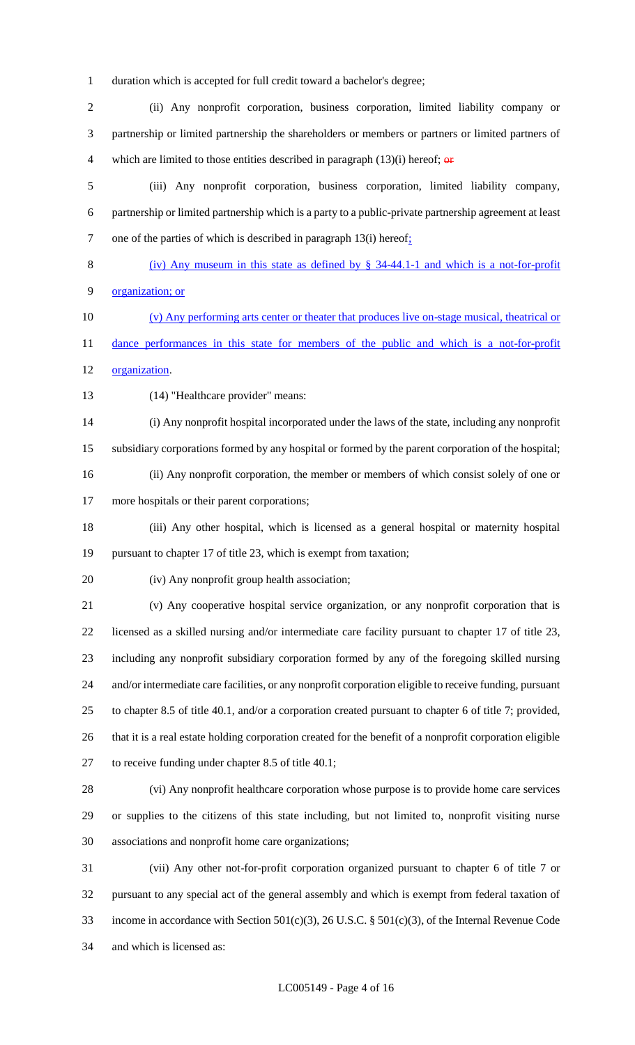duration which is accepted for full credit toward a bachelor's degree;

 (ii) Any nonprofit corporation, business corporation, limited liability company or partnership or limited partnership the shareholders or members or partners or limited partners of 4 which are limited to those entities described in paragraph  $(13)(i)$  hereof;  $\theta$ 

 (iii) Any nonprofit corporation, business corporation, limited liability company, partnership or limited partnership which is a party to a public-private partnership agreement at least 7 one of the parties of which is described in paragraph 13(i) hereof.

 (iv) Any museum in this state as defined by § 34-44.1-1 and which is a not-for-profit organization; or

 (v) Any performing arts center or theater that produces live on-stage musical, theatrical or 11 dance performances in this state for members of the public and which is a not-for-profit organization.

(14) "Healthcare provider" means:

 (i) Any nonprofit hospital incorporated under the laws of the state, including any nonprofit subsidiary corporations formed by any hospital or formed by the parent corporation of the hospital;

(ii) Any nonprofit corporation, the member or members of which consist solely of one or

more hospitals or their parent corporations;

 (iii) Any other hospital, which is licensed as a general hospital or maternity hospital pursuant to chapter 17 of title 23, which is exempt from taxation;

(iv) Any nonprofit group health association;

 (v) Any cooperative hospital service organization, or any nonprofit corporation that is licensed as a skilled nursing and/or intermediate care facility pursuant to chapter 17 of title 23, including any nonprofit subsidiary corporation formed by any of the foregoing skilled nursing and/or intermediate care facilities, or any nonprofit corporation eligible to receive funding, pursuant to chapter 8.5 of title 40.1, and/or a corporation created pursuant to chapter 6 of title 7; provided, that it is a real estate holding corporation created for the benefit of a nonprofit corporation eligible to receive funding under chapter 8.5 of title 40.1;

 (vi) Any nonprofit healthcare corporation whose purpose is to provide home care services or supplies to the citizens of this state including, but not limited to, nonprofit visiting nurse associations and nonprofit home care organizations;

 (vii) Any other not-for-profit corporation organized pursuant to chapter 6 of title 7 or pursuant to any special act of the general assembly and which is exempt from federal taxation of income in accordance with Section 501(c)(3), 26 U.S.C. § 501(c)(3), of the Internal Revenue Code and which is licensed as: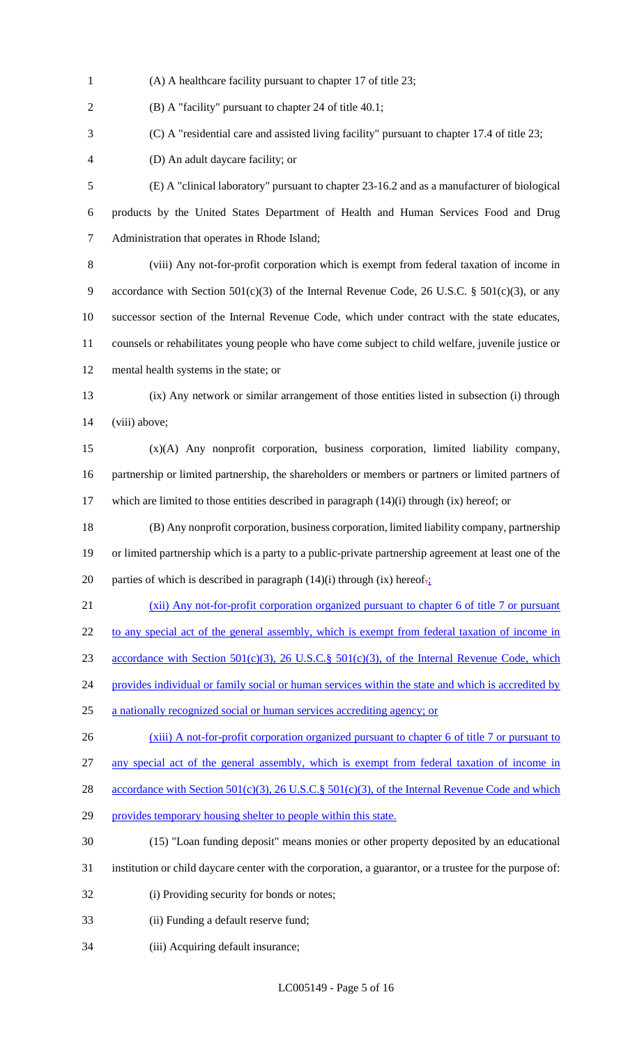(A) A healthcare facility pursuant to chapter 17 of title 23;

(B) A "facility" pursuant to chapter 24 of title 40.1;

(C) A "residential care and assisted living facility" pursuant to chapter 17.4 of title 23;

(D) An adult daycare facility; or

 (E) A "clinical laboratory" pursuant to chapter 23-16.2 and as a manufacturer of biological products by the United States Department of Health and Human Services Food and Drug Administration that operates in Rhode Island;

 (viii) Any not-for-profit corporation which is exempt from federal taxation of income in 9 accordance with Section  $501(c)(3)$  of the Internal Revenue Code, 26 U.S.C. §  $501(c)(3)$ , or any successor section of the Internal Revenue Code, which under contract with the state educates, counsels or rehabilitates young people who have come subject to child welfare, juvenile justice or mental health systems in the state; or

 (ix) Any network or similar arrangement of those entities listed in subsection (i) through 14 (viii) above;

 (x)(A) Any nonprofit corporation, business corporation, limited liability company, partnership or limited partnership, the shareholders or members or partners or limited partners of which are limited to those entities described in paragraph (14)(i) through (ix) hereof; or

 (B) Any nonprofit corporation, business corporation, limited liability company, partnership or limited partnership which is a party to a public-private partnership agreement at least one of the 20 parties of which is described in paragraph (14)(i) through (ix) hereof. $\frac{1}{2}$ 

 (xii) Any not-for-profit corporation organized pursuant to chapter 6 of title 7 or pursuant 22 to any special act of the general assembly, which is exempt from federal taxation of income in

23 accordance with Section 501(c)(3), 26 U.S.C. § 501(c)(3), of the Internal Revenue Code, which

24 provides individual or family social or human services within the state and which is accredited by

- a nationally recognized social or human services accrediting agency; or
- 26 (xiii) A not-for-profit corporation organized pursuant to chapter 6 of title 7 or pursuant to

any special act of the general assembly, which is exempt from federal taxation of income in

28 accordance with Section 501(c)(3), 26 U.S.C.§ 501(c)(3), of the Internal Revenue Code and which

29 provides temporary housing shelter to people within this state.

(15) "Loan funding deposit" means monies or other property deposited by an educational

- institution or child daycare center with the corporation, a guarantor, or a trustee for the purpose of:
- (i) Providing security for bonds or notes;
- (ii) Funding a default reserve fund;
- (iii) Acquiring default insurance;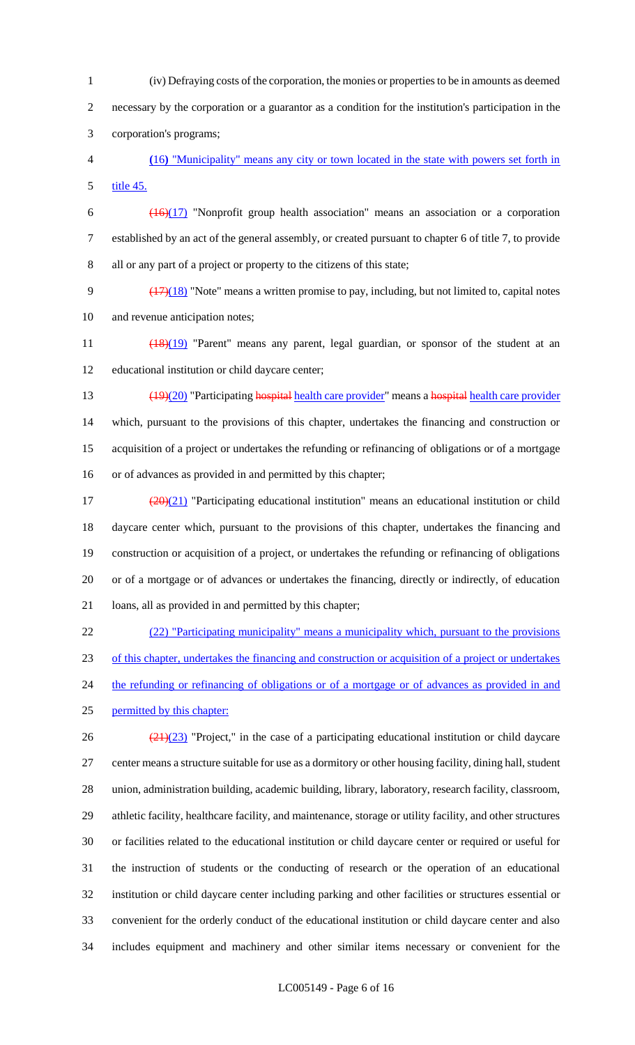(iv) Defraying costs of the corporation, the monies or properties to be in amounts as deemed necessary by the corporation or a guarantor as a condition for the institution's participation in the corporation's programs;

 **(**16**)** "Municipality" means any city or town located in the state with powers set forth in 5 title 45.

 $\frac{(16)(17)}{2}$  "Nonprofit group health association" means an association or a corporation established by an act of the general assembly, or created pursuant to chapter 6 of title 7, to provide all or any part of a project or property to the citizens of this state;

9  $(17)(18)$  "Note" means a written promise to pay, including, but not limited to, capital notes and revenue anticipation notes;

11 (18)(19) "Parent" means any parent, legal guardian, or sponsor of the student at an educational institution or child daycare center;

13 (19)(20) "Participating hospital health care provider" means a hospital health care provider which, pursuant to the provisions of this chapter, undertakes the financing and construction or acquisition of a project or undertakes the refunding or refinancing of obligations or of a mortgage or of advances as provided in and permitted by this chapter;

 $\left(\frac{(20)(21)}{20} \right)$  "Participating educational institution" means an educational institution or child daycare center which, pursuant to the provisions of this chapter, undertakes the financing and construction or acquisition of a project, or undertakes the refunding or refinancing of obligations or of a mortgage or of advances or undertakes the financing, directly or indirectly, of education loans, all as provided in and permitted by this chapter;

 (22) "Participating municipality" means a municipality which, pursuant to the provisions of this chapter, undertakes the financing and construction or acquisition of a project or undertakes 24 the refunding or refinancing of obligations or of a mortgage or of advances as provided in and permitted by this chapter:  $\frac{(21)(23)}{21}$  "Project," in the case of a participating educational institution or child daycare

 center means a structure suitable for use as a dormitory or other housing facility, dining hall, student union, administration building, academic building, library, laboratory, research facility, classroom, athletic facility, healthcare facility, and maintenance, storage or utility facility, and other structures or facilities related to the educational institution or child daycare center or required or useful for the instruction of students or the conducting of research or the operation of an educational institution or child daycare center including parking and other facilities or structures essential or convenient for the orderly conduct of the educational institution or child daycare center and also includes equipment and machinery and other similar items necessary or convenient for the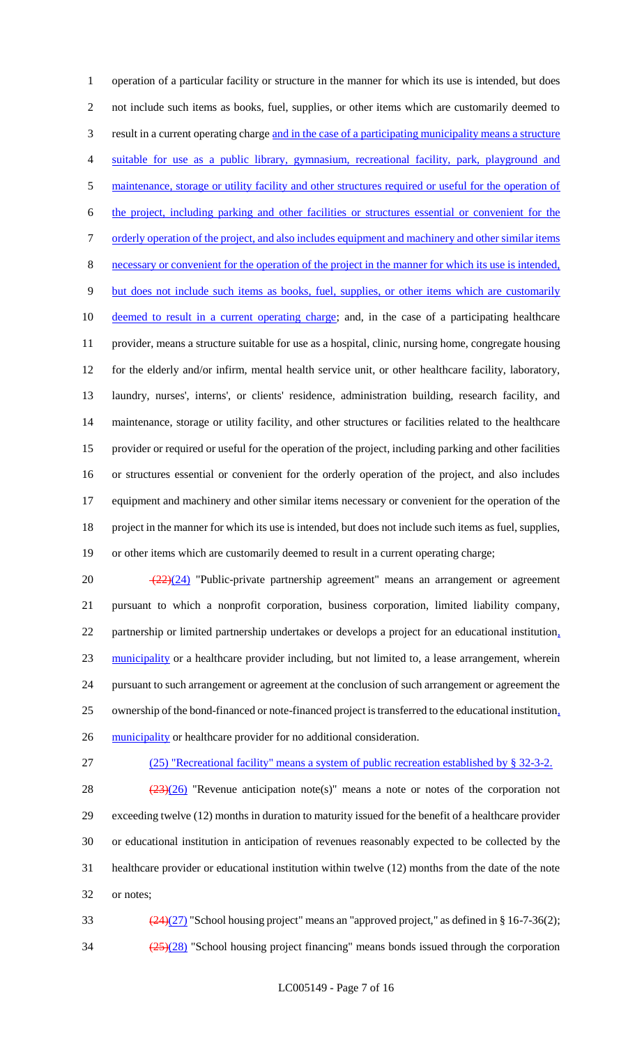operation of a particular facility or structure in the manner for which its use is intended, but does not include such items as books, fuel, supplies, or other items which are customarily deemed to result in a current operating charge and in the case of a participating municipality means a structure suitable for use as a public library, gymnasium, recreational facility, park, playground and maintenance, storage or utility facility and other structures required or useful for the operation of the project, including parking and other facilities or structures essential or convenient for the 7 orderly operation of the project, and also includes equipment and machinery and other similar items necessary or convenient for the operation of the project in the manner for which its use is intended, but does not include such items as books, fuel, supplies, or other items which are customarily 10 deemed to result in a current operating charge; and, in the case of a participating healthcare provider, means a structure suitable for use as a hospital, clinic, nursing home, congregate housing for the elderly and/or infirm, mental health service unit, or other healthcare facility, laboratory, laundry, nurses', interns', or clients' residence, administration building, research facility, and maintenance, storage or utility facility, and other structures or facilities related to the healthcare provider or required or useful for the operation of the project, including parking and other facilities or structures essential or convenient for the orderly operation of the project, and also includes equipment and machinery and other similar items necessary or convenient for the operation of the project in the manner for which its use is intended, but does not include such items as fuel, supplies, or other items which are customarily deemed to result in a current operating charge;

 $\sqrt{(22)(24)}$  "Public-private partnership agreement" means an arrangement or agreement pursuant to which a nonprofit corporation, business corporation, limited liability company, partnership or limited partnership undertakes or develops a project for an educational institution, municipality or a healthcare provider including, but not limited to, a lease arrangement, wherein pursuant to such arrangement or agreement at the conclusion of such arrangement or agreement the ownership of the bond-financed or note-financed project is transferred to the educational institution, 26 municipality or healthcare provider for no additional consideration.

(25) "Recreational facility" means a system of public recreation established by § 32-3-2.

 $(23)(26)$  "Revenue anticipation note(s)" means a note or notes of the corporation not exceeding twelve (12) months in duration to maturity issued for the benefit of a healthcare provider or educational institution in anticipation of revenues reasonably expected to be collected by the healthcare provider or educational institution within twelve (12) months from the date of the note or notes;

33  $(24)(27)$  "School housing project" means an "approved project," as defined in § 16-7-36(2);  $\frac{(25)(28)}{25}$  "School housing project financing" means bonds issued through the corporation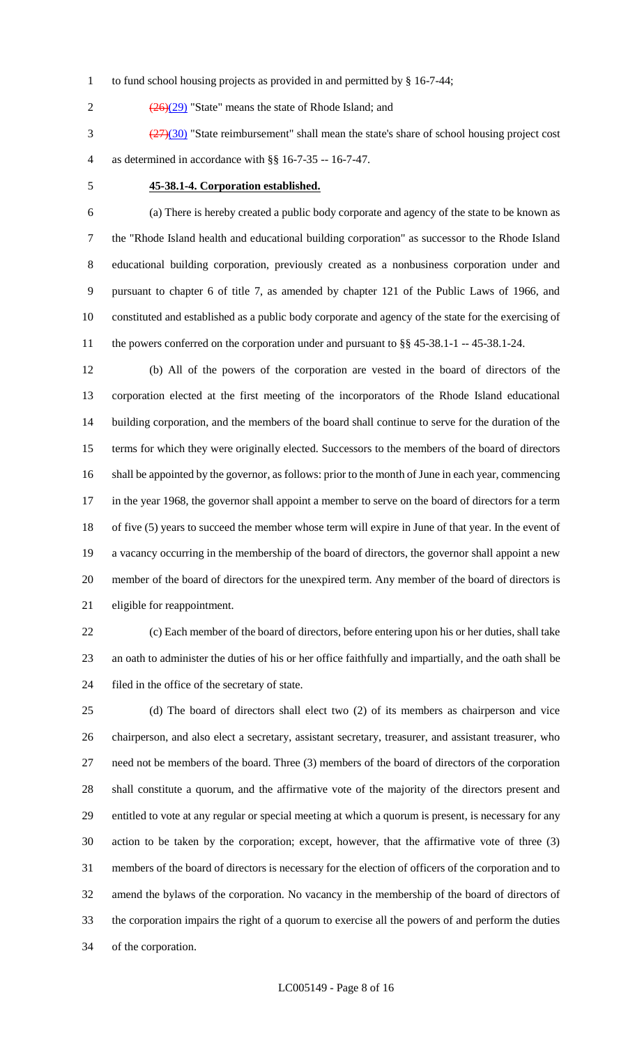- to fund school housing projects as provided in and permitted by § 16-7-44;
- 2  $\left(\frac{(26)(29)}{26}\right)$  "State" means the state of Rhode Island; and

 (27)(30) "State reimbursement" shall mean the state's share of school housing project cost as determined in accordance with §§ 16-7-35 -- 16-7-47.

## **45-38.1-4. Corporation established.**

 (a) There is hereby created a public body corporate and agency of the state to be known as the "Rhode Island health and educational building corporation" as successor to the Rhode Island educational building corporation, previously created as a nonbusiness corporation under and pursuant to chapter 6 of title 7, as amended by chapter 121 of the Public Laws of 1966, and constituted and established as a public body corporate and agency of the state for the exercising of the powers conferred on the corporation under and pursuant to §§ 45-38.1-1 -- 45-38.1-24.

 (b) All of the powers of the corporation are vested in the board of directors of the corporation elected at the first meeting of the incorporators of the Rhode Island educational building corporation, and the members of the board shall continue to serve for the duration of the terms for which they were originally elected. Successors to the members of the board of directors shall be appointed by the governor, as follows: prior to the month of June in each year, commencing in the year 1968, the governor shall appoint a member to serve on the board of directors for a term of five (5) years to succeed the member whose term will expire in June of that year. In the event of a vacancy occurring in the membership of the board of directors, the governor shall appoint a new member of the board of directors for the unexpired term. Any member of the board of directors is eligible for reappointment.

 (c) Each member of the board of directors, before entering upon his or her duties, shall take an oath to administer the duties of his or her office faithfully and impartially, and the oath shall be filed in the office of the secretary of state.

 (d) The board of directors shall elect two (2) of its members as chairperson and vice chairperson, and also elect a secretary, assistant secretary, treasurer, and assistant treasurer, who need not be members of the board. Three (3) members of the board of directors of the corporation shall constitute a quorum, and the affirmative vote of the majority of the directors present and entitled to vote at any regular or special meeting at which a quorum is present, is necessary for any action to be taken by the corporation; except, however, that the affirmative vote of three (3) members of the board of directors is necessary for the election of officers of the corporation and to amend the bylaws of the corporation. No vacancy in the membership of the board of directors of the corporation impairs the right of a quorum to exercise all the powers of and perform the duties of the corporation.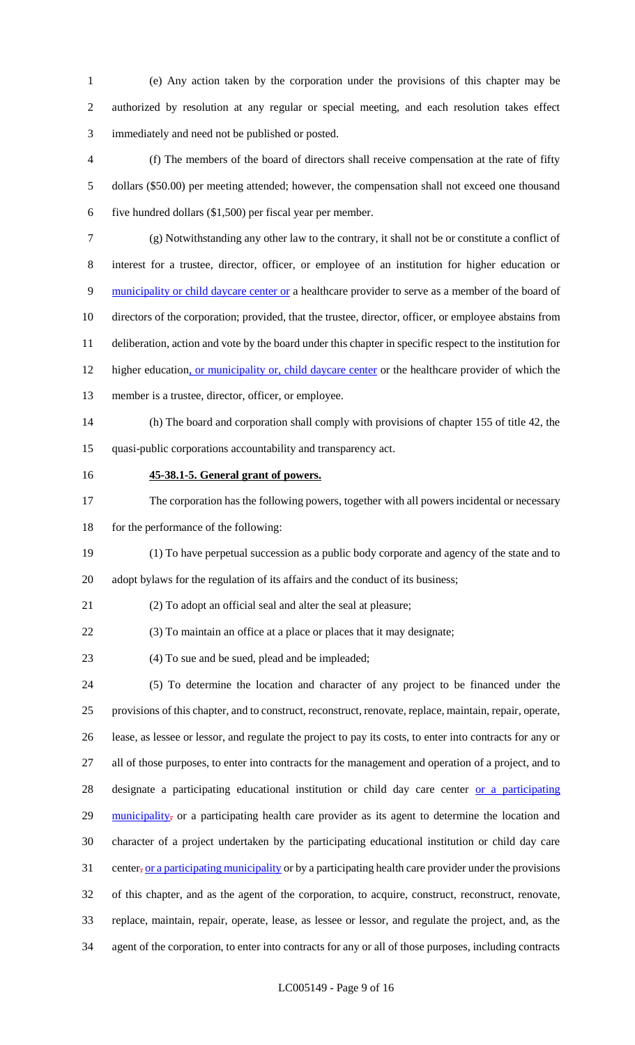(e) Any action taken by the corporation under the provisions of this chapter may be authorized by resolution at any regular or special meeting, and each resolution takes effect immediately and need not be published or posted.

 (f) The members of the board of directors shall receive compensation at the rate of fifty dollars (\$50.00) per meeting attended; however, the compensation shall not exceed one thousand five hundred dollars (\$1,500) per fiscal year per member.

 (g) Notwithstanding any other law to the contrary, it shall not be or constitute a conflict of interest for a trustee, director, officer, or employee of an institution for higher education or 9 municipality or child daycare center or a healthcare provider to serve as a member of the board of directors of the corporation; provided, that the trustee, director, officer, or employee abstains from deliberation, action and vote by the board under this chapter in specific respect to the institution for 12 higher education, or municipality or, child daycare center or the healthcare provider of which the

- member is a trustee, director, officer, or employee.
- (h) The board and corporation shall comply with provisions of chapter 155 of title 42, the quasi-public corporations accountability and transparency act.
- 

## **45-38.1-5. General grant of powers.**

 The corporation has the following powers, together with all powers incidental or necessary 18 for the performance of the following:

 (1) To have perpetual succession as a public body corporate and agency of the state and to adopt bylaws for the regulation of its affairs and the conduct of its business;

(2) To adopt an official seal and alter the seal at pleasure;

(3) To maintain an office at a place or places that it may designate;

(4) To sue and be sued, plead and be impleaded;

 (5) To determine the location and character of any project to be financed under the provisions of this chapter, and to construct, reconstruct, renovate, replace, maintain, repair, operate, lease, as lessee or lessor, and regulate the project to pay its costs, to enter into contracts for any or all of those purposes, to enter into contracts for the management and operation of a project, and to 28 designate a participating educational institution or child day care center or a participating 29 municipality, or a participating health care provider as its agent to determine the location and character of a project undertaken by the participating educational institution or child day care 31 center, or a participating municipality or by a participating health care provider under the provisions of this chapter, and as the agent of the corporation, to acquire, construct, reconstruct, renovate, replace, maintain, repair, operate, lease, as lessee or lessor, and regulate the project, and, as the agent of the corporation, to enter into contracts for any or all of those purposes, including contracts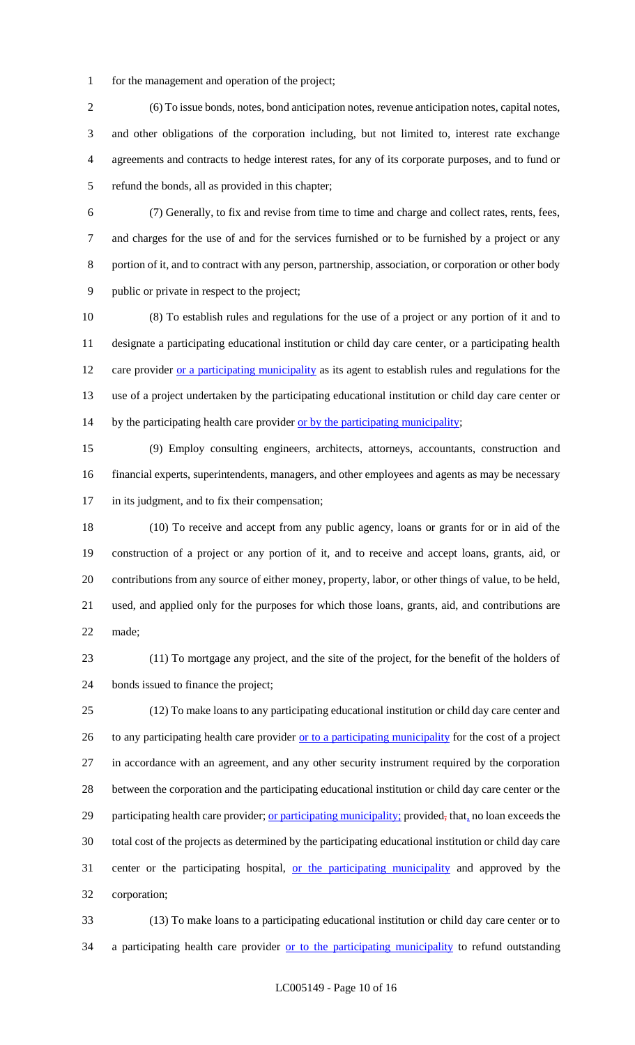for the management and operation of the project;

 (6) To issue bonds, notes, bond anticipation notes, revenue anticipation notes, capital notes, and other obligations of the corporation including, but not limited to, interest rate exchange agreements and contracts to hedge interest rates, for any of its corporate purposes, and to fund or refund the bonds, all as provided in this chapter;

 (7) Generally, to fix and revise from time to time and charge and collect rates, rents, fees, and charges for the use of and for the services furnished or to be furnished by a project or any portion of it, and to contract with any person, partnership, association, or corporation or other body public or private in respect to the project;

 (8) To establish rules and regulations for the use of a project or any portion of it and to designate a participating educational institution or child day care center, or a participating health 12 care provider or a participating municipality as its agent to establish rules and regulations for the use of a project undertaken by the participating educational institution or child day care center or 14 by the participating health care provider or by the participating municipality;

 (9) Employ consulting engineers, architects, attorneys, accountants, construction and financial experts, superintendents, managers, and other employees and agents as may be necessary in its judgment, and to fix their compensation;

 (10) To receive and accept from any public agency, loans or grants for or in aid of the construction of a project or any portion of it, and to receive and accept loans, grants, aid, or contributions from any source of either money, property, labor, or other things of value, to be held, used, and applied only for the purposes for which those loans, grants, aid, and contributions are made;

 (11) To mortgage any project, and the site of the project, for the benefit of the holders of bonds issued to finance the project;

 (12) To make loans to any participating educational institution or child day care center and 26 to any participating health care provider or to a participating municipality for the cost of a project in accordance with an agreement, and any other security instrument required by the corporation between the corporation and the participating educational institution or child day care center or the 29 participating health care provider; or participating municipality; provided, that, no loan exceeds the total cost of the projects as determined by the participating educational institution or child day care 31 center or the participating hospital, <u>or the participating municipality</u> and approved by the corporation;

 (13) To make loans to a participating educational institution or child day care center or to 34 a participating health care provider or to the participating municipality to refund outstanding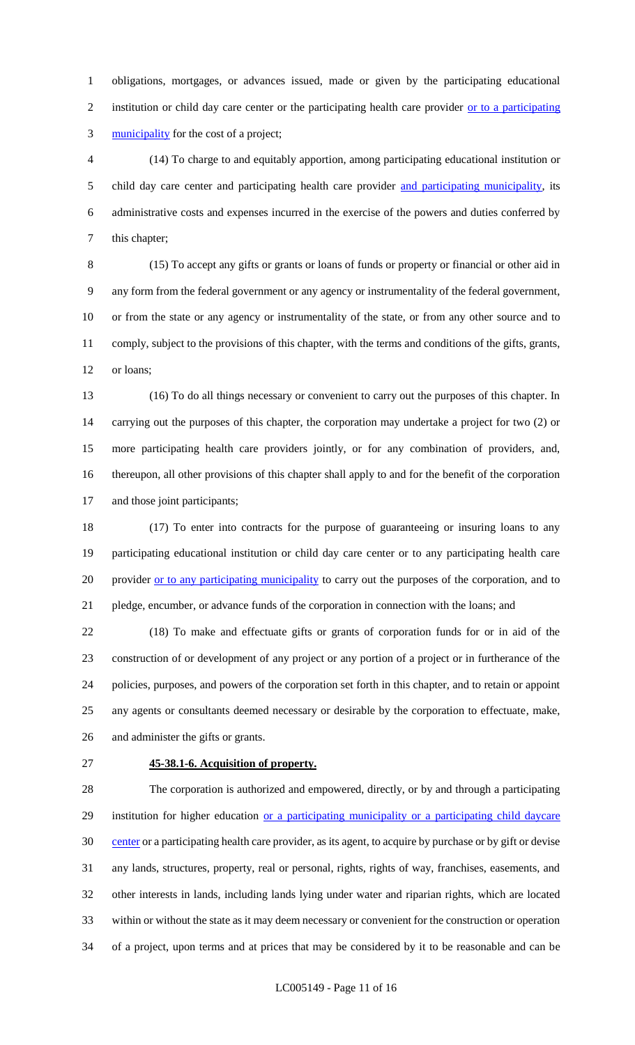obligations, mortgages, or advances issued, made or given by the participating educational 2 institution or child day care center or the participating health care provider or to a participating municipality for the cost of a project;

 (14) To charge to and equitably apportion, among participating educational institution or 5 child day care center and participating health care provider and participating municipality, its administrative costs and expenses incurred in the exercise of the powers and duties conferred by this chapter;

 (15) To accept any gifts or grants or loans of funds or property or financial or other aid in any form from the federal government or any agency or instrumentality of the federal government, or from the state or any agency or instrumentality of the state, or from any other source and to comply, subject to the provisions of this chapter, with the terms and conditions of the gifts, grants, 12 or loans;

 (16) To do all things necessary or convenient to carry out the purposes of this chapter. In carrying out the purposes of this chapter, the corporation may undertake a project for two (2) or more participating health care providers jointly, or for any combination of providers, and, thereupon, all other provisions of this chapter shall apply to and for the benefit of the corporation and those joint participants;

 (17) To enter into contracts for the purpose of guaranteeing or insuring loans to any participating educational institution or child day care center or to any participating health care 20 provider or to any participating municipality to carry out the purposes of the corporation, and to pledge, encumber, or advance funds of the corporation in connection with the loans; and

 (18) To make and effectuate gifts or grants of corporation funds for or in aid of the construction of or development of any project or any portion of a project or in furtherance of the policies, purposes, and powers of the corporation set forth in this chapter, and to retain or appoint any agents or consultants deemed necessary or desirable by the corporation to effectuate, make, and administer the gifts or grants.

# **45-38.1-6. Acquisition of property.**

 The corporation is authorized and empowered, directly, or by and through a participating 29 institution for higher education or a participating municipality or a participating child daycare 30 center or a participating health care provider, as its agent, to acquire by purchase or by gift or devise any lands, structures, property, real or personal, rights, rights of way, franchises, easements, and other interests in lands, including lands lying under water and riparian rights, which are located within or without the state as it may deem necessary or convenient for the construction or operation of a project, upon terms and at prices that may be considered by it to be reasonable and can be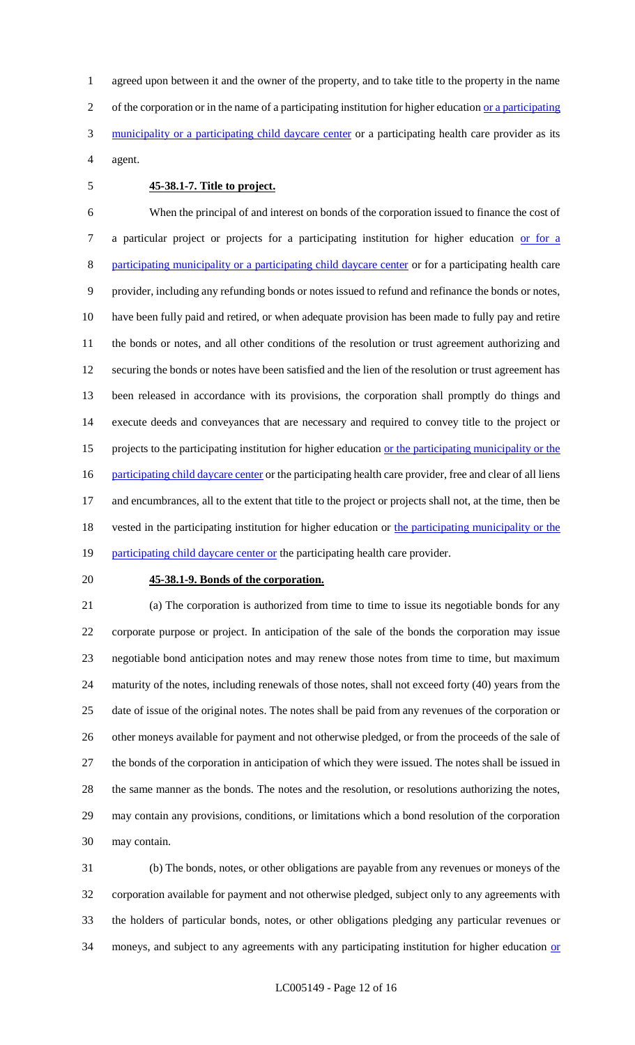agreed upon between it and the owner of the property, and to take title to the property in the name 2 of the corporation or in the name of a participating institution for higher education <u>or a participating</u> 3 municipality or a participating child daycare center or a participating health care provider as its agent.

#### **45-38.1-7. Title to project.**

 When the principal of and interest on bonds of the corporation issued to finance the cost of a particular project or projects for a participating institution for higher education or for a participating municipality or a participating child daycare center or for a participating health care provider, including any refunding bonds or notes issued to refund and refinance the bonds or notes, have been fully paid and retired, or when adequate provision has been made to fully pay and retire the bonds or notes, and all other conditions of the resolution or trust agreement authorizing and securing the bonds or notes have been satisfied and the lien of the resolution or trust agreement has been released in accordance with its provisions, the corporation shall promptly do things and execute deeds and conveyances that are necessary and required to convey title to the project or 15 projects to the participating institution for higher education <u>or the participating municipality or the</u> 16 participating child daycare center or the participating health care provider, free and clear of all liens and encumbrances, all to the extent that title to the project or projects shall not, at the time, then be 18 vested in the participating institution for higher education or the participating municipality or the 19 participating child daycare center or the participating health care provider.

#### **45-38.1-9. Bonds of the corporation.**

 (a) The corporation is authorized from time to time to issue its negotiable bonds for any corporate purpose or project. In anticipation of the sale of the bonds the corporation may issue negotiable bond anticipation notes and may renew those notes from time to time, but maximum maturity of the notes, including renewals of those notes, shall not exceed forty (40) years from the date of issue of the original notes. The notes shall be paid from any revenues of the corporation or 26 other moneys available for payment and not otherwise pledged, or from the proceeds of the sale of the bonds of the corporation in anticipation of which they were issued. The notes shall be issued in the same manner as the bonds. The notes and the resolution, or resolutions authorizing the notes, may contain any provisions, conditions, or limitations which a bond resolution of the corporation may contain.

 (b) The bonds, notes, or other obligations are payable from any revenues or moneys of the corporation available for payment and not otherwise pledged, subject only to any agreements with the holders of particular bonds, notes, or other obligations pledging any particular revenues or 34 moneys, and subject to any agreements with any participating institution for higher education or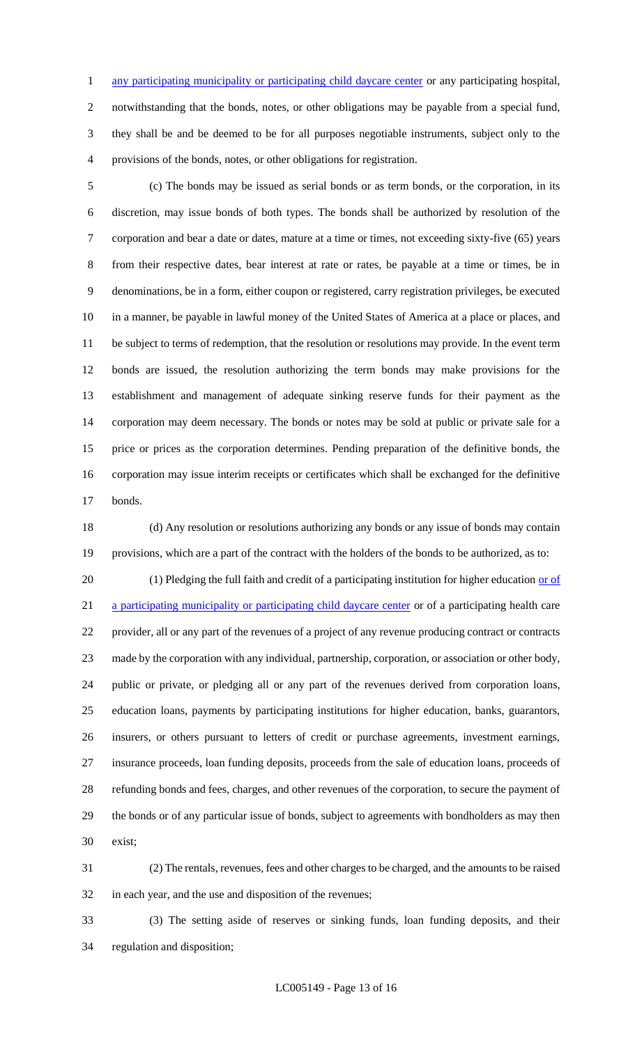1 any participating municipality or participating child daycare center or any participating hospital,

 notwithstanding that the bonds, notes, or other obligations may be payable from a special fund, they shall be and be deemed to be for all purposes negotiable instruments, subject only to the provisions of the bonds, notes, or other obligations for registration.

 (c) The bonds may be issued as serial bonds or as term bonds, or the corporation, in its discretion, may issue bonds of both types. The bonds shall be authorized by resolution of the corporation and bear a date or dates, mature at a time or times, not exceeding sixty-five (65) years from their respective dates, bear interest at rate or rates, be payable at a time or times, be in denominations, be in a form, either coupon or registered, carry registration privileges, be executed in a manner, be payable in lawful money of the United States of America at a place or places, and be subject to terms of redemption, that the resolution or resolutions may provide. In the event term bonds are issued, the resolution authorizing the term bonds may make provisions for the establishment and management of adequate sinking reserve funds for their payment as the corporation may deem necessary. The bonds or notes may be sold at public or private sale for a price or prices as the corporation determines. Pending preparation of the definitive bonds, the corporation may issue interim receipts or certificates which shall be exchanged for the definitive bonds.

 (d) Any resolution or resolutions authorizing any bonds or any issue of bonds may contain provisions, which are a part of the contract with the holders of the bonds to be authorized, as to:

20 (1) Pledging the full faith and credit of a participating institution for higher education or of a participating municipality or participating child daycare center or of a participating health care provider, all or any part of the revenues of a project of any revenue producing contract or contracts made by the corporation with any individual, partnership, corporation, or association or other body, public or private, or pledging all or any part of the revenues derived from corporation loans, education loans, payments by participating institutions for higher education, banks, guarantors, insurers, or others pursuant to letters of credit or purchase agreements, investment earnings, insurance proceeds, loan funding deposits, proceeds from the sale of education loans, proceeds of refunding bonds and fees, charges, and other revenues of the corporation, to secure the payment of the bonds or of any particular issue of bonds, subject to agreements with bondholders as may then exist;

 (2) The rentals, revenues, fees and other charges to be charged, and the amounts to be raised in each year, and the use and disposition of the revenues;

 (3) The setting aside of reserves or sinking funds, loan funding deposits, and their regulation and disposition;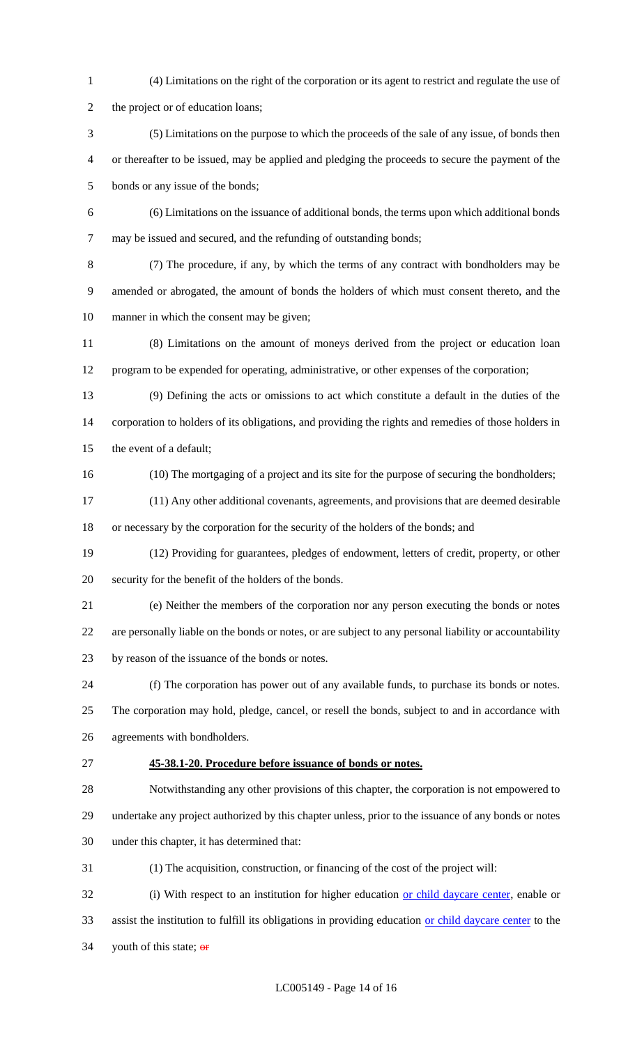(4) Limitations on the right of the corporation or its agent to restrict and regulate the use of 2 the project or of education loans; (5) Limitations on the purpose to which the proceeds of the sale of any issue, of bonds then or thereafter to be issued, may be applied and pledging the proceeds to secure the payment of the bonds or any issue of the bonds; (6) Limitations on the issuance of additional bonds, the terms upon which additional bonds may be issued and secured, and the refunding of outstanding bonds; (7) The procedure, if any, by which the terms of any contract with bondholders may be amended or abrogated, the amount of bonds the holders of which must consent thereto, and the manner in which the consent may be given; (8) Limitations on the amount of moneys derived from the project or education loan program to be expended for operating, administrative, or other expenses of the corporation; (9) Defining the acts or omissions to act which constitute a default in the duties of the corporation to holders of its obligations, and providing the rights and remedies of those holders in the event of a default; (10) The mortgaging of a project and its site for the purpose of securing the bondholders; (11) Any other additional covenants, agreements, and provisions that are deemed desirable or necessary by the corporation for the security of the holders of the bonds; and (12) Providing for guarantees, pledges of endowment, letters of credit, property, or other security for the benefit of the holders of the bonds. (e) Neither the members of the corporation nor any person executing the bonds or notes are personally liable on the bonds or notes, or are subject to any personal liability or accountability by reason of the issuance of the bonds or notes. (f) The corporation has power out of any available funds, to purchase its bonds or notes. The corporation may hold, pledge, cancel, or resell the bonds, subject to and in accordance with agreements with bondholders. **45-38.1-20. Procedure before issuance of bonds or notes.** Notwithstanding any other provisions of this chapter, the corporation is not empowered to undertake any project authorized by this chapter unless, prior to the issuance of any bonds or notes under this chapter, it has determined that: (1) The acquisition, construction, or financing of the cost of the project will: 32 (i) With respect to an institution for higher education or child daycare center, enable or 33 assist the institution to fulfill its obligations in providing education or child daycare center to the 34 youth of this state;  $\theta$ **F**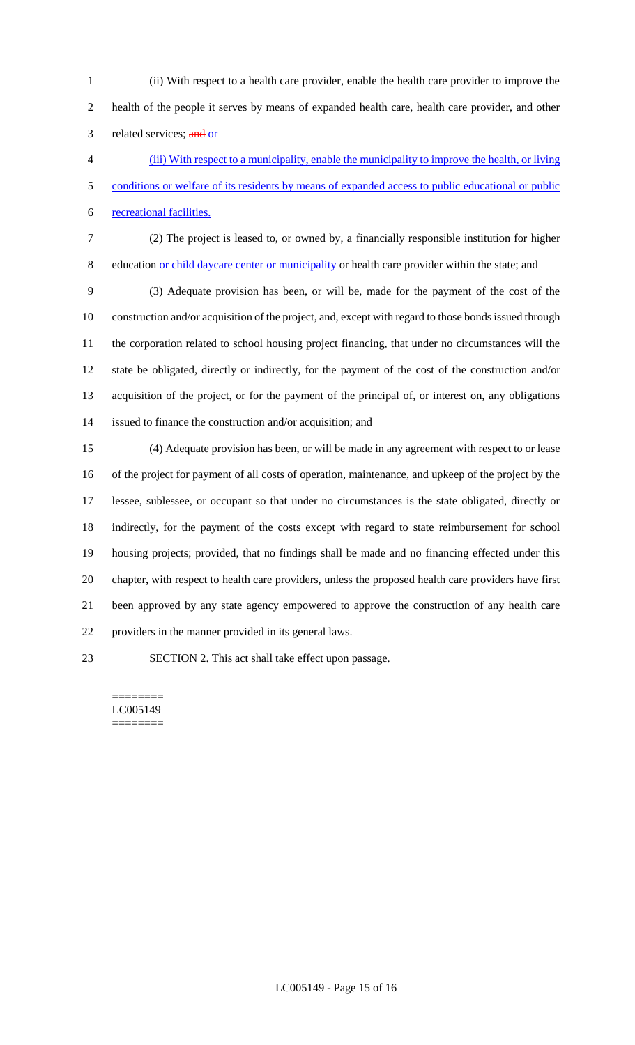(ii) With respect to a health care provider, enable the health care provider to improve the health of the people it serves by means of expanded health care, health care provider, and other 3 related services; and or

 (iii) With respect to a municipality, enable the municipality to improve the health, or living conditions or welfare of its residents by means of expanded access to public educational or public recreational facilities.

(2) The project is leased to, or owned by, a financially responsible institution for higher

education or child daycare center or municipality or health care provider within the state; and

 (3) Adequate provision has been, or will be, made for the payment of the cost of the construction and/or acquisition of the project, and, except with regard to those bonds issued through the corporation related to school housing project financing, that under no circumstances will the state be obligated, directly or indirectly, for the payment of the cost of the construction and/or acquisition of the project, or for the payment of the principal of, or interest on, any obligations issued to finance the construction and/or acquisition; and

 (4) Adequate provision has been, or will be made in any agreement with respect to or lease of the project for payment of all costs of operation, maintenance, and upkeep of the project by the lessee, sublessee, or occupant so that under no circumstances is the state obligated, directly or indirectly, for the payment of the costs except with regard to state reimbursement for school housing projects; provided, that no findings shall be made and no financing effected under this chapter, with respect to health care providers, unless the proposed health care providers have first been approved by any state agency empowered to approve the construction of any health care providers in the manner provided in its general laws.

SECTION 2. This act shall take effect upon passage.

======== LC005149 ========